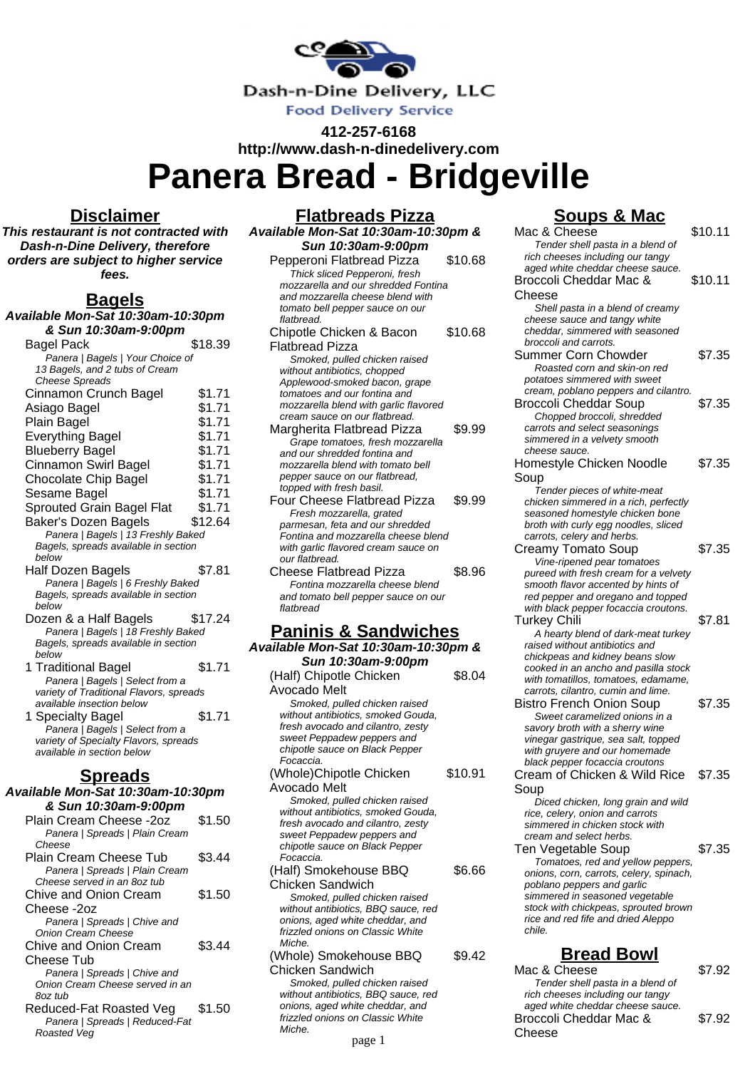

**412-257-6168 http://www.dash-n-dinedelivery.com**

**Flatbreads Pizza**

**Panera Bread - Bridgeville**

## **Disclaimer**

**This restaurant is not contracted with Dash-n-Dine Delivery, therefore orders are subject to higher service fees.**

# **Bagels**

**Available Mon-Sat 10:30am-10:30pm & Sun 10:30am-9:00pm** Bagel Pack \$18.39 Panera | Bagels | Your Choice of 13 Bagels, and 2 tubs of Cream Cheese Spreads Cinnamon Crunch Bagel \$1.71 Asiago Bagel \$1.71 Plain Bagel \$1.71 Everything Bagel \$1.71 Blueberry Bagel \$1.71 Cinnamon Swirl Bagel \$1.71 Chocolate Chip Bagel \$1.71 Sesame Bagel \$1.71 Sprouted Grain Bagel Flat \$1.71 Baker's Dozen Bagels \$12.64 Panera | Bagels | 13 Freshly Baked Bagels, spreads available in section below Half Dozen Bagels \$7.81 Panera | Bagels | 6 Freshly Baked Bagels, spreads available in section below Dozen & a Half Bagels \$17.24 Panera | Bagels | 18 Freshly Baked Bagels, spreads available in section below 1 Traditional Bagel \$1.71 Panera | Bagels | Select from a variety of Traditional Flavors, spreads available insection below 1 Specialty Bagel \$1.71 Panera | Bagels | Select from a variety of Specialty Flavors, spreads available in section below **Spreads Available Mon-Sat 10:30am-10:30pm & Sun 10:30am-9:00pm** Plain Cream Cheese -2oz \$1.50 Panera | Spreads | Plain Cream Cheese Plain Cream Cheese Tub \$3.44 Panera | Spreads | Plain Cream Cheese served in an 8oz tub Chive and Onion Cream Cheese -2oz \$1.50 Panera | Spreads | Chive and Onion Cream Cheese Chive and Onion Cream Cheese Tub \$3.44 Panera | Spreads | Chive and Onion Cream Cheese served in an 8oz tub Reduced-Fat Roasted Veg \$1.50 Panera | Spreads | Reduced-Fat Roasted Veg

| Available Mon-Sat 10:30am-10:30pm &                                  |         |
|----------------------------------------------------------------------|---------|
| Sun 10:30am-9:00pm                                                   |         |
| Pepperoni Flatbread Pizza                                            | \$10.68 |
| Thick sliced Pepperoni, fresh                                        |         |
| mozzarella and our shredded Fontina                                  |         |
| and mozzarella cheese blend with                                     |         |
| tomato bell pepper sauce on our                                      |         |
| flatbread.                                                           |         |
| Chipotle Chicken & Bacon                                             | \$10.68 |
| <b>Flatbread Pizza</b>                                               |         |
| Smoked, pulled chicken raised<br>without antibiotics, chopped        |         |
| Applewood-smoked bacon, grape                                        |         |
| tomatoes and our fontina and                                         |         |
| mozzarella blend with garlic flavored                                |         |
| cream sauce on our flatbread.                                        |         |
| Margherita Flatbread Pizza                                           | \$9.99  |
| Grape tomatoes, fresh mozzarella                                     |         |
| and our shredded fontina and                                         |         |
| mozzarella blend with tomato bell<br>pepper sauce on our flatbread,  |         |
| topped with fresh basil.                                             |         |
| Four Cheese Flatbread Pizza                                          | \$9.99  |
| Fresh mozzarella, grated                                             |         |
| parmesan, feta and our shredded                                      |         |
| Fontina and mozzarella cheese blend                                  |         |
| with garlic flavored cream sauce on                                  |         |
| our flatbread.<br>Cheese Flatbread Pizza                             | \$8.96  |
| Fontina mozzarella cheese blend                                      |         |
|                                                                      |         |
|                                                                      |         |
| and tomato bell pepper sauce on our<br>flatbread                     |         |
|                                                                      |         |
| <u>Paninis &amp; Sandwiches</u>                                      |         |
|                                                                      |         |
| Sun 10:30am-9:00pm                                                   |         |
| (Half) Chipotle Chicken                                              | \$8.04  |
| Available Mon-Sat 10:30am-10:30pm &<br>Avocado Melt                  |         |
| Smoked, pulled chicken raised                                        |         |
| without antibiotics, smoked Gouda,                                   |         |
| fresh avocado and cilantro, zesty                                    |         |
| sweet Peppadew peppers and                                           |         |
| chipotle sauce on Black Pepper<br>Focaccia.                          |         |
| (Whole)Chipotle Chicken                                              | \$10.91 |
|                                                                      |         |
| Avocado Melt<br>Smoked, pulled chicken raised                        |         |
| without antibiotics, smoked Gouda,                                   |         |
| fresh avocado and cilantro, zesty                                    |         |
| sweet Peppadew peppers and                                           |         |
| chipotle sauce on Black Pepper                                       |         |
| Focaccia.                                                            |         |
| (Half) Smokehouse BBQ                                                | \$6.66  |
| <b>Chicken Sandwich</b>                                              |         |
| Smoked, pulled chicken raised<br>without antibiotics, BBQ sauce, red |         |
| onions, aged white cheddar, and                                      |         |
| frizzled onions on Classic White<br>Miche.                           |         |

(Whole) Smokehouse BBQ Chicken Sandwich \$9.42

Smoked, pulled chicken raised without antibiotics, BBQ sauce, red onions, aged white cheddar, and frizzled onions on Classic White Miche.

page 1

# **Soups & Mac**

| Mac & Cheese                                                                | \$10.11 |
|-----------------------------------------------------------------------------|---------|
| Tender shell pasta in a blend of                                            |         |
| rich cheeses including our tangy                                            |         |
| aged white cheddar cheese sauce.                                            |         |
| Broccoli Cheddar Mac &                                                      | \$10.11 |
|                                                                             |         |
| Cheese                                                                      |         |
| Shell pasta in a blend of creamy                                            |         |
| cheese sauce and tangy white                                                |         |
| cheddar, simmered with seasoned                                             |         |
| broccoli and carrots.                                                       |         |
| Summer Corn Chowder                                                         | \$7.35  |
| Roasted corn and skin-on red                                                |         |
| potatoes simmered with sweet                                                |         |
|                                                                             |         |
| cream, poblano peppers and cilantro.                                        |         |
| <b>Broccoli Cheddar Soup</b>                                                | \$7.35  |
| Chopped broccoli, shredded                                                  |         |
| carrots and select seasonings                                               |         |
| simmered in a velvety smooth                                                |         |
| cheese sauce.                                                               |         |
| Homestyle Chicken Noodle                                                    | \$7.35  |
| Soup                                                                        |         |
|                                                                             |         |
| Tender pieces of white-meat                                                 |         |
| chicken simmered in a rich, perfectly                                       |         |
| seasoned homestyle chicken bone                                             |         |
| broth with curly egg noodles, sliced                                        |         |
| carrots, celery and herbs.                                                  |         |
| <b>Creamy Tomato Soup</b>                                                   | \$7.35  |
| Vine-ripened pear tomatoes                                                  |         |
| pureed with fresh cream for a velvety                                       |         |
| smooth flavor accented by hints of                                          |         |
| red pepper and oregano and topped                                           |         |
| with black pepper focaccia croutons.                                        |         |
| Turkey Chili                                                                | \$7.81  |
| A hearty blend of dark-meat turkey                                          |         |
| raised without antibiotics and                                              |         |
|                                                                             |         |
| chickpeas and kidney beans slow                                             |         |
| cooked in an ancho and pasilla stock<br>with tomatillos, tomatoes, edamame, |         |
|                                                                             |         |
| carrots, cilantro, cumin and lime.                                          |         |
| <b>Bistro French Onion Soup</b>                                             | \$7.35  |
| Sweet caramelized onions in a                                               |         |
| savory broth with a sherry wine                                             |         |
| vinegar gastrique, sea salt, topped                                         |         |
| with gruyere and our homemade                                               |         |
| black pepper focaccia croutons                                              |         |
| Cream of Chicken & Wild Rice                                                | \$7.35  |
| Soup                                                                        |         |
|                                                                             |         |
| Diced chicken, long grain and wild                                          |         |
| rice, celery, onion and carrots                                             |         |
| simmered in chicken stock with                                              |         |
| cream and select herbs.                                                     |         |
| Ten Vegetable Soup                                                          | \$7.35  |
| Tomatoes, red and yellow peppers,                                           |         |
| onions, corn, carrots, celery, spinach,                                     |         |
| poblano peppers and garlic                                                  |         |
| simmered in seasoned vegetable                                              |         |
| stock with chickpeas, sprouted brown                                        |         |
| rice and red fife and dried Aleppo                                          |         |
| chile.                                                                      |         |
|                                                                             |         |
| <b>Bread Bowl</b>                                                           |         |
|                                                                             |         |
| Mac & Cheese                                                                | \$7.92  |
| Tender shell pasta in a blend of                                            |         |
| rich cheeses including our tangy                                            |         |

aged white cheddar cheese sauce. Broccoli Cheddar Mac &

\$7.92

Cheese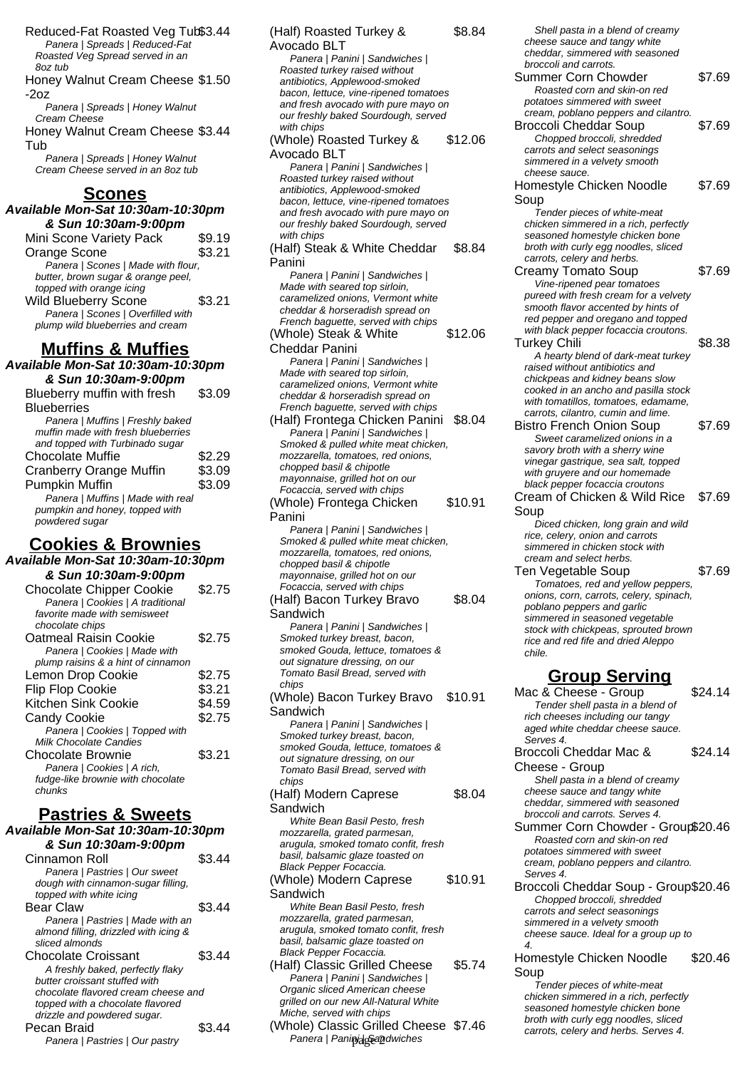Reduced-Fat Roasted Veg Tub\$3.44 Panera | Spreads | Reduced-Fat Roasted Veg Spread served in an 8oz tub

Honey Walnut Cream Cheese \$1.50 -2oz

Panera | Spreads | Honey Walnut Cream Cheese

Honey Walnut Cream Cheese \$3.44 Tub

Panera | Spreads | Honey Walnut Cream Cheese served in an 8oz tub

#### **Scones**

**Available Mon-Sat 10:30am-10:30pm & Sun 10:30am-9:00pm**

| Mini Scone Variety Pack            | \$9.19 |
|------------------------------------|--------|
| Orange Scone                       | \$3.21 |
| Panera   Scones   Made with flour, |        |
| butter, brown sugar & orange peel, |        |
| topped with orange icing           |        |
| Wild Blueberry Scone               | \$3.21 |
| Panera   Scones   Overfilled with  |        |
| plump wild blueberries and cream   |        |
|                                    |        |

# **Muffins & Muffies**

**Available Mon-Sat 10:30am-10:30pm & Sun 10:30am-9:00pm** Blueberry muffin with fresh \$3.09

| <b>Blueberries</b>                 |        |
|------------------------------------|--------|
| Panera   Muffins   Freshly baked   |        |
| muffin made with fresh blueberries |        |
| and topped with Turbinado sugar    |        |
| <b>Chocolate Muffie</b>            | \$2.29 |
| <b>Cranberry Orange Muffin</b>     | \$3.09 |
| <b>Pumpkin Muffin</b>              | \$3.09 |
| Panera   Muffins   Made with real  |        |
| pumpkin and honey, topped with     |        |
| powdered sugar                     |        |

# **Cookies & Brownies**

**Available Mon-Sat 10:30am-10:30pm & Sun 10:30am-9:00pm** Chocolate Chipper Cookie \$2.75 Panera | Cookies | A traditional favorite made with semisweet chocolate chips Oatmeal Raisin Cookie \$2.75 Panera | Cookies | Made with plump raisins & a hint of cinnamon Lemon Drop Cookie \$2.75 Flip Flop Cookie \$3.21 Kitchen Sink Cookie \$4.59 Candy Cookie  $$2.75$ Panera | Cookies | Topped with Milk Chocolate Candies Chocolate Brownie \$3.21 Panera | Cookies | A rich, fudge-like brownie with chocolate chunks

# **Pastries & Sweets**

**Available Mon-Sat 10:30am-10:30pm & Sun 10:30am-9:00pm** Cinnamon Roll \$3.44 Panera | Pastries | Our sweet dough with cinnamon-sugar filling, topped with white icing Bear Claw \$3.44 Panera | Pastries | Made with an almond filling, drizzled with icing & sliced almonds Chocolate Croissant \$3.44 A freshly baked, perfectly flaky butter croissant stuffed with chocolate flavored cream cheese and topped with a chocolate flavored drizzle and powdered sugar. Pecan Braid  $$3.44$ Panera | Pastries | Our pastry

(Half) Roasted Turkey & Avocado BLT \$8.84 Panera | Panini | Sandwiches | Roasted turkey raised without antibiotics, Applewood-smoked bacon, lettuce, vine-ripened tomatoes and fresh avocado with pure mayo on our freshly baked Sourdough, served with chips (Whole) Roasted Turkey & Avocado BLT \$12.06 Panera | Panini | Sandwiches | Roasted turkey raised without antibiotics, Applewood-smoked bacon, lettuce, vine-ripened tomatoes and fresh avocado with pure mayo on our freshly baked Sourdough, served with chins (Half) Steak & White Cheddar Panini \$8.84 Panera | Panini | Sandwiches | Made with seared top sirloin, caramelized onions, Vermont white cheddar & horseradish spread on French baguette, served with chips (Whole) Steak & White Cheddar Panini \$12.06 Panera | Panini | Sandwiches | Made with seared top sirloin, caramelized onions, Vermont white cheddar & horseradish spread on French baguette, served with chips (Half) Frontega Chicken Panini \$8.04 Panera | Panini | Sandwiches | Smoked & pulled white meat chicken, mozzarella, tomatoes, red onions, chopped basil & chipotle mayonnaise, grilled hot on our Focaccia, served with chips (Whole) Frontega Chicken Panini \$10.91 Panera | Panini | Sandwiches | Smoked & pulled white meat chicken, mozzarella, tomatoes, red onions, chopped basil & chipotle mayonnaise, grilled hot on our Focaccia, served with chips (Half) Bacon Turkey Bravo Sandwich \$8.04 Panera | Panini | Sandwiches | Smoked turkey breast, bacon, smoked Gouda, lettuce, tomatoes & out signature dressing, on our Tomato Basil Bread, served with chips (Whole) Bacon Turkey Bravo Sandwich \$10.91 Panera | Panini | Sandwiches | Smoked turkey breast, bacon, smoked Gouda, lettuce, tomatoes & out signature dressing, on our Tomato Basil Bread, served with chips (Half) Modern Caprese Sandwich \$8.04 White Bean Basil Pesto, fresh mozzarella, grated parmesan, arugula, smoked tomato confit, fresh basil, balsamic glaze toasted on Black Pepper Focaccia. (Whole) Modern Caprese **Sandwich** \$10.91 White Bean Basil Pesto, fresh mozzarella, grated parmesan, arugula, smoked tomato confit, fresh basil, balsamic glaze toasted on Black Pepper Focaccia. (Half) Classic Grilled Cheese \$5.74 Panera | Panini | Sandwiches | Organic sliced American cheese grilled on our new All-Natural White Miche, served with chips (Whole) Classic Grilled Cheese \$7.46 Panera | Pani $\eta$ alg§a $\eta$ dwiches

Shell pasta in a blend of creamy cheese sauce and tangy white cheddar, simmered with seasoned broccoli and carrots. Summer Corn Chowder \$7.69 Roasted corn and skin-on red potatoes simmered with sweet cream, poblano peppers and cilantro. Broccoli Cheddar Soup \$7.69 Chopped broccoli, shredded carrots and select seasonings simmered in a velvety smooth cheese sauce. Homestyle Chicken Noodle Soup \$7.69 Tender pieces of white-meat chicken simmered in a rich, perfectly seasoned homestyle chicken bone broth with curly egg noodles, sliced carrots, celery and herbs. Creamy Tomato Soup \$7.69 Vine-ripened pear tomatoes pureed with fresh cream for a velvety smooth flavor accented by hints of red pepper and oregano and topped with black pepper focaccia croutons. Turkey Chili \$8.38 A hearty blend of dark-meat turkey raised without antibiotics and chickpeas and kidney beans slow cooked in an ancho and pasilla stock with tomatillos, tomatoes, edamame, carrots, cilantro, cumin and lime. Bistro French Onion Soup \$7.69 Sweet caramelized onions in a savory broth with a sherry wine vinegar gastrique, sea salt, topped with gruyere and our homemade black pepper focaccia croutons Cream of Chicken & Wild Rice Soup \$7.69 Diced chicken, long grain and wild rice, celery, onion and carrots simmered in chicken stock with cream and select herbs. Ten Vegetable Soup \$7.69 Tomatoes, red and yellow peppers, onions, corn, carrots, celery, spinach, poblano peppers and garlic simmered in seasoned vegetable stock with chickpeas, sprouted brown rice and red fife and dried Aleppo chile. **Group Serving** Mac & Cheese - Group \$24.14 Tender shell pasta in a blend of rich cheeses including our tangy aged white cheddar cheese sauce. Serves 4. Broccoli Cheddar Mac & Cheese - Group \$24.14 Shell pasta in a blend of creamy cheese sauce and tangy white cheddar, simmered with seasoned broccoli and carrots. Serves 4. Summer Corn Chowder - Group\$20.46 Roasted corn and skin-on red potatoes simmered with sweet cream, poblano peppers and cilantro. Serves 4. Broccoli Cheddar Soup - Group\$20.46 Chopped broccoli, shredded carrots and select seasonings simmered in a velvety smooth cheese sauce. Ideal for a group up to 4. Homestyle Chicken Noodle Soup \$20.46 Tender pieces of white-meat chicken simmered in a rich, perfectly seasoned homestyle chicken bone broth with curly egg noodles, sliced

carrots, celery and herbs. Serves 4.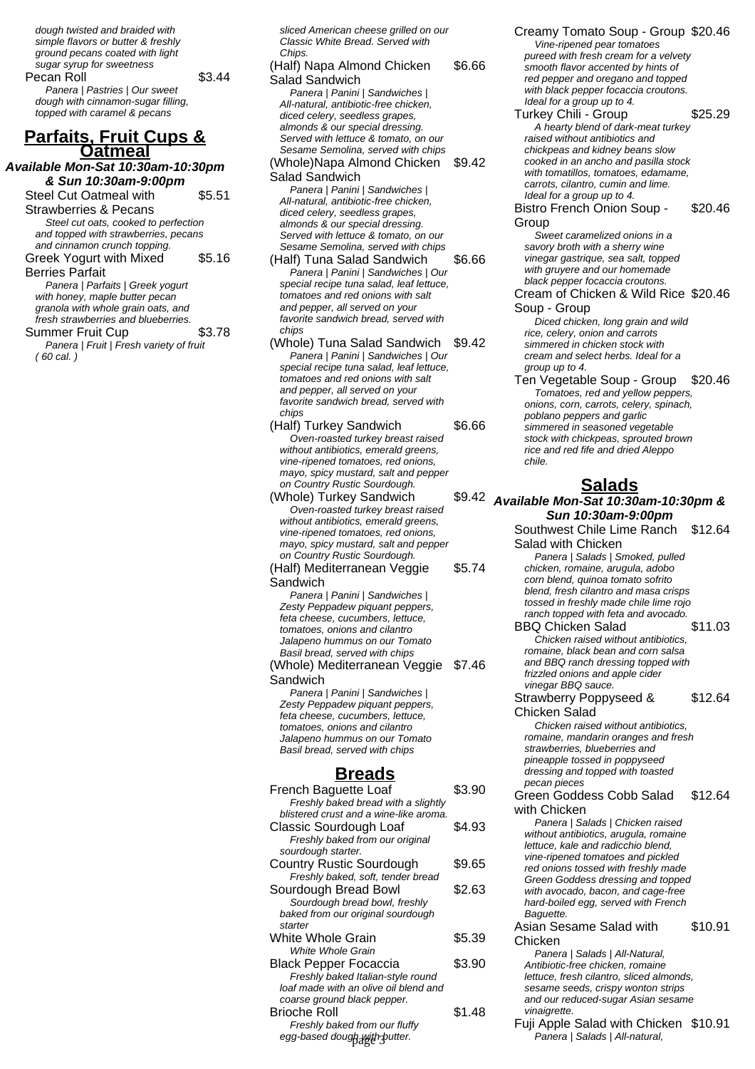dough twisted and braided with simple flavors or butter & freshly ground pecans coated with light sugar syrup for sweetness Pecan Roll \$3.44 Panera | Pastries | Our sweet dough with cinnamon-sugar filling, topped with caramel & pecans

#### **Parfaits, Fruit Cups & Oatmeal**

#### **Available Mon-Sat 10:30am-10:30pm & Sun 10:30am-9:00pm**

Steel Cut Oatmeal with Strawberries & Pecans \$5.51 Steel cut oats, cooked to perfection

and topped with strawberries, pecans and cinnamon crunch topping. Greek Yogurt with Mixed \$5.16

Berries Parfait

Panera | Parfaits | Greek yogurt with honey, maple butter pecan granola with whole grain oats, and fresh strawberries and blueberries.

Summer Fruit Cup \$3.78 Panera | Fruit | Fresh variety of fruit ( 60 cal. )

sliced American cheese grilled on our Classic White Bread. Served with Chips

#### (Half) Napa Almond Chicken Salad Sandwich \$6.66 Panera | Panini | Sandwiches | All-natural, antibiotic-free chicken, diced celery, seedless grapes, almonds & our special dressing. Served with lettuce & tomato, on our Sesame Semolina, served with chips

(Whole)Napa Almond Chicken \$9.42 Salad Sandwich

Panera | Panini | Sandwiches | All-natural, antibiotic-free chicken, diced celery, seedless grapes, almonds & our special dressing. Served with lettuce & tomato, on our Sesame Semolina, served with chips

- (Half) Tuna Salad Sandwich \$6.66 Panera | Panini | Sandwiches | Our special recipe tuna salad, leaf lettuce, tomatoes and red onions with salt and pepper, all served on your favorite sandwich bread, served with chips
- (Whole) Tuna Salad Sandwich \$9.42 Panera | Panini | Sandwiches | Our special recipe tuna salad, leaf lettuce, tomatoes and red onions with salt and pepper, all served on your favorite sandwich bread, served with chips
- (Half) Turkey Sandwich \$6.66 Oven-roasted turkey breast raised without antibiotics, emerald greens, vine-ripened tomatoes, red onions, mayo, spicy mustard, salt and pepper on Country Rustic Sourdough.
- (Whole) Turkey Sandwich \$9.42 Oven-roasted turkey breast raised without antibiotics, emerald greens. vine-ripened tomatoes, red onions, mayo, spicy mustard, salt and pepper on Country Rustic Sourdough.
- (Half) Mediterranean Veggie Sandwich \$5.74

Panera | Panini | Sandwiches | Zesty Peppadew piquant peppers, feta cheese, cucumbers, lettuce, tomatoes, onions and cilantro Jalapeno hummus on our Tomato Basil bread, served with chips (Whole) Mediterranean Veggie Sandwich \$7.46

Panera | Panini | Sandwiches | Zesty Peppadew piquant peppers, feta cheese, cucumbers, lettuce, tomatoes, onions and cilantro Jalapeno hummus on our Tomato Basil bread, served with chips

## **Breads**

| French Baguette Loaf                      | \$3.90 |
|-------------------------------------------|--------|
| Freshly baked bread with a slightly       |        |
| blistered crust and a wine-like aroma.    |        |
| Classic Sourdough Loaf                    | \$4.93 |
| Freshly baked from our original           |        |
| sourdough starter.                        |        |
| Country Rustic Sourdough                  | \$9.65 |
| Freshly baked, soft, tender bread         |        |
| Sourdough Bread Bowl                      | \$2.63 |
| Sourdough bread bowl, freshly             |        |
| baked from our original sourdough         |        |
| starter                                   |        |
| White Whole Grain                         | \$5.39 |
| White Whole Grain                         |        |
| <b>Black Pepper Focaccia</b>              | \$3.90 |
| Freshly baked Italian-style round         |        |
| loaf made with an olive oil blend and     |        |
| coarse ground black pepper.               |        |
| Brioche Roll                              | \$1.48 |
| Freshly baked from our fluffy             |        |
| egg-based dough <sub>a</sub> with putter. |        |
|                                           |        |

Creamy Tomato Soup - Group \$20.46 Vine-ripened pear tomatoes pureed with fresh cream for a velvety smooth flavor accented by hints of red pepper and oregano and topped with black pepper focaccia croutons. Ideal for a group up to 4.

Turkey Chili - Group \$25.29 A hearty blend of dark-meat turkey raised without antibiotics and chickpeas and kidney beans slow cooked in an ancho and pasilla stock with tomatillos, tomatoes, edamame, carrots, cilantro, cumin and lime. Ideal for a group up to 4.

Bistro French Onion Soup - Group \$20.46

Sweet caramelized onions in a savory broth with a sherry wine vinegar gastrique, sea salt, topped with gruyere and our homemade black pepper focaccia croutons.

Cream of Chicken & Wild Rice \$20.46 Soup - Group

Diced chicken, long grain and wild rice, celery, onion and carrots simmered in chicken stock with cream and select herbs. Ideal for a group up to 4.

Ten Vegetable Soup - Group \$20.46 Tomatoes, red and yellow peppers, onions, corn, carrots, celery, spinach, poblano peppers and garlic simmered in seasoned vegetable stock with chickpeas, sprouted brown rice and red fife and dried Aleppo chile.

# **Salads**

**Available Mon-Sat 10:30am-10:30pm & Sun 10:30am-9:00pm** Southwest Chile Lime Ranch Salad with Chicken \$12.64 Panera | Salads | Smoked, pulled chicken, romaine, arugula, adobo corn blend, quinoa tomato sofrito blend, fresh cilantro and masa crisps tossed in freshly made chile lime rojo ranch topped with feta and avocado. BBQ Chicken Salad \$11.03 Chicken raised without antibiotics, romaine, black bean and corn salsa and BBQ ranch dressing topped with frizzled onions and apple cider vinegar BBQ sauce. Strawberry Poppyseed & Chicken Salad \$12.64 Chicken raised without antibiotics, romaine, mandarin oranges and fresh strawberries, blueberries and pineapple tossed in poppyseed dressing and topped with toasted pecan pieces Green Goddess Cobb Salad with Chicken \$12.64 Panera | Salads | Chicken raised without antibiotics, arugula, romaine lettuce, kale and radicchio blend, vine-ripened tomatoes and pickled red onions tossed with freshly made Green Goddess dressing and topped with avocado, bacon, and cage-free hard-boiled egg, served with French Baguette. Asian Sesame Salad with Chicken \$10.91 Panera | Salads | All-Natural, Antibiotic-free chicken, romaine lettuce, fresh cilantro, sliced almonds, sesame seeds, crispy wonton strips and our reduced-sugar Asian sesame **vinaigrette** Fuji Apple Salad with Chicken \$10.91

Panera | Salads | All-natural,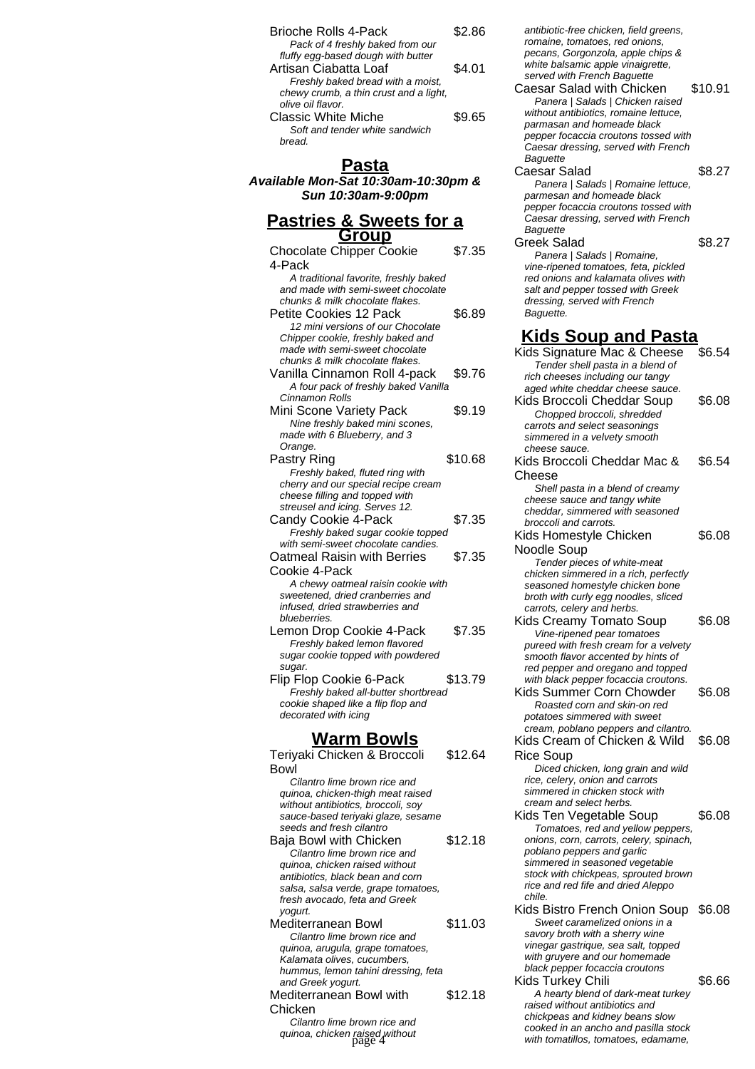| <b>Brioche Rolls 4-Pack</b>            | S2 86  |
|----------------------------------------|--------|
| Pack of 4 freshly baked from our       |        |
| fluffy egg-based dough with butter     |        |
| Artisan Ciabatta Loaf                  | \$4.01 |
| Freshly baked bread with a moist,      |        |
| chewy crumb, a thin crust and a light, |        |
| olive oil flavor.                      |        |
| Classic White Miche                    | \$9.65 |
| Soft and tender white sandwich         |        |
| read.                                  |        |

#### **Pasta**

**Available Mon-Sat 10:30am-10:30pm & Sun 10:30am-9:00pm**

#### **Pastries & Sweets for a Group**

| <u>Group</u>                                             |         |
|----------------------------------------------------------|---------|
| <b>Chocolate Chipper Cookie</b>                          | \$7.35  |
| 4-Pack                                                   |         |
| A traditional favorite, freshly baked                    |         |
| and made with semi-sweet chocolate                       |         |
| chunks & milk chocolate flakes.                          |         |
|                                                          |         |
| Petite Cookies 12 Pack                                   | \$6.89  |
| 12 mini versions of our Chocolate                        |         |
| Chipper cookie, freshly baked and                        |         |
| made with semi-sweet chocolate                           |         |
| chunks & milk chocolate flakes.                          |         |
| Vanilla Cinnamon Roll 4-pack                             | \$9.76  |
| A four pack of freshly baked Vanilla                     |         |
| Cinnamon Rolls                                           |         |
| Mini Scone Variety Pack                                  | \$9.19  |
| Nine freshly baked mini scones,                          |         |
| made with 6 Blueberry, and 3                             |         |
| Orange.                                                  |         |
| Pastry Ring                                              | \$10.68 |
| Freshly baked, fluted ring with                          |         |
| cherry and our special recipe cream                      |         |
| cheese filling and topped with                           |         |
| streusel and icing. Serves 12.                           |         |
|                                                          | \$7.35  |
| Candy Cookie 4-Pack                                      |         |
| Freshly baked sugar cookie topped                        |         |
| with semi-sweet chocolate candies.                       |         |
| Oatmeal Raisin with Berries                              | \$7.35  |
| Cookie 4-Pack                                            |         |
| A chewy oatmeal raisin cookie with                       |         |
| sweetened, dried cranberries and                         |         |
| infused, dried strawberries and                          |         |
| blueberries.                                             |         |
| Lemon Drop Cookie 4-Pack                                 | \$7.35  |
| Freshly baked lemon flavored                             |         |
| sugar cookie topped with powdered                        |         |
| sugar.                                                   |         |
| Flip Flop Cookie 6-Pack                                  | \$13.79 |
| Freshly baked all-butter shortbread                      |         |
|                                                          |         |
| cookie shaped like a flip flop and                       |         |
| decorated with icing                                     |         |
|                                                          |         |
| <b>Warm Bowls</b>                                        |         |
| Teriyaki Chicken & Broccoli                              | \$12.64 |
| Bowl                                                     |         |
| Cilantro lime brown rice and                             |         |
| quinoa, chicken-thigh meat raised                        |         |
| without antibiotics, broccoli, soy                       |         |
| sauce-based teriyaki glaze, sesame                       |         |
| seeds and fresh cilantro                                 |         |
| Baja Bowl with Chicken                                   |         |
|                                                          |         |
|                                                          | \$12.18 |
| Cilantro lime brown rice and                             |         |
| quinoa, chicken raised without                           |         |
| antibiotics, black bean and corn                         |         |
| salsa, salsa verde, grape tomatoes,                      |         |
| fresh avocado, feta and Greek                            |         |
| yogurt.                                                  |         |
| Mediterranean Bowl                                       | \$11.03 |
| Cilantro lime brown rice and                             |         |
| quinoa, arugula, grape tomatoes,                         |         |
| Kalamata olives, cucumbers,                              |         |
| hummus, lemon tahini dressing, feta<br>and Greek yogurt. |         |

Mediterranean Bowl with Chicken \$12.18 Cilantro lime brown rice and

quinoa, chicken raised without<br>page 4

antibiotic-free chicken, field greens, romaine, tomatoes, red onions, pecans, Gorgonzola, apple chips & white balsamic apple vinaigrette, served with French Baquette Caesar Salad with Chicken \$10.91 Panera | Salads | Chicken raised without antibiotics, romaine lettuce, parmasan and homeade black pepper focaccia croutons tossed with Caesar dressing, served with French **Baguette** Caesar Salad \$8.27 Panera | Salads | Romaine lettuce, parmesan and homeade black pepper focaccia croutons tossed with Caesar dressing, served with French **Baguette** Greek Salad \$8.27 Panera | Salads | Romaine, vine-ripened tomatoes, feta, pickled red onions and kalamata olives with salt and pepper tossed with Greek dressing, served with French Baguette. **Kids Soup and Pasta** Kids Signature Mac & Cheese \$6.54 Tender shell pasta in a blend of rich cheeses including our tangy aged white cheddar cheese sauce. Kids Broccoli Cheddar Soup \$6.08 Chopped broccoli, shredded carrots and select seasonings simmered in a velvety smooth cheese sauce. Kids Broccoli Cheddar Mac & Cheese \$6.54 Shell pasta in a blend of creamy cheese sauce and tangy white cheddar, simmered with seasoned broccoli and carrots. Kids Homestyle Chicken Noodle Soup \$6.08 Tender pieces of white-meat chicken simmered in a rich, perfectly seasoned homestyle chicken bone broth with curly egg noodles, sliced carrots, celery and herbs. Kids Creamy Tomato Soup \$6.08 Vine-ripened pear tomatoes pureed with fresh cream for a velvety smooth flavor accented by hints of red pepper and oregano and topped with black pepper focaccia croutons. Kids Summer Corn Chowder \$6.08 Roasted corn and skin-on red potatoes simmered with sweet cream, poblano peppers and cilantro. Kids Cream of Chicken & Wild Rice Soup \$6.08 Diced chicken, long grain and wild rice, celery, onion and carrots simmered in chicken stock with cream and select herbs. Kids Ten Vegetable Soup \$6.08 Tomatoes, red and yellow peppers, onions, corn, carrots, celery, spinach, poblano peppers and garlic simmered in seasoned vegetable stock with chickpeas, sprouted brown rice and red fife and dried Aleppo chile.

- Kids Bistro French Onion Soup \$6.08 Sweet caramelized onions in a savory broth with a sherry wine vinegar gastrique, sea salt, topped with gruyere and our homemade black pepper focaccia croutons
- Kids Turkey Chili \$6.66 A hearty blend of dark-meat turkey raised without antibiotics and chickpeas and kidney beans slow cooked in an ancho and pasilla stock with tomatillos, tomatoes, edamame,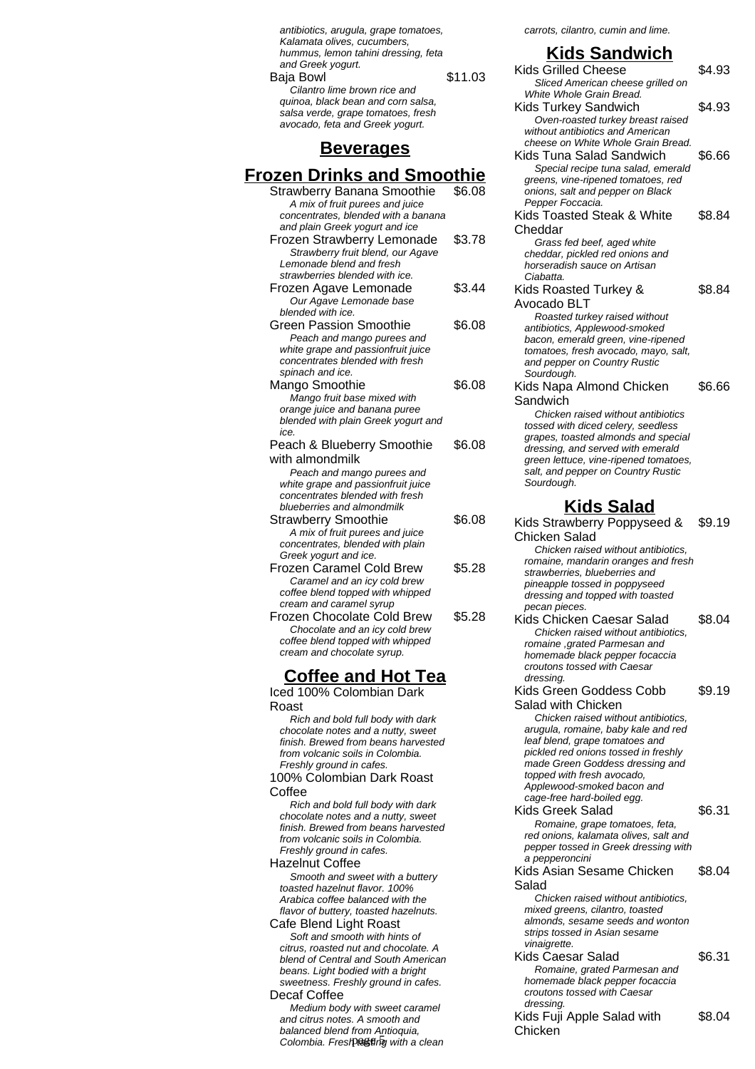antibiotics, arugula, grape tomatoes, Kalamata olives, cucumbers, hummus, lemon tahini dressing, feta and Greek yogurt. Baja Bowl \$11.03 Cilantro lime brown rice and quinoa, black bean and corn salsa, salsa verde, grape tomatoes, fresh avocado, feta and Greek yogurt.

### **Beverages**

# **Frozen Drinks and Smoothie**

| Strawberry Banana Smoothie<br>A mix of fruit purees and juice<br>concentrates, blended with a banana<br>and plain Greek yogurt and ice                                             | \$6.08 |
|------------------------------------------------------------------------------------------------------------------------------------------------------------------------------------|--------|
| Frozen Strawberry Lemonade<br>Strawberry fruit blend, our Agave<br>Lemonade blend and fresh<br>strawberries blended with ice.                                                      | \$3.78 |
| Frozen Agave Lemonade<br>Our Agave Lemonade base<br>blended with ice.                                                                                                              | \$3.44 |
| Green Passion Smoothie<br>Peach and mango purees and<br>white grape and passionfruit juice<br>concentrates blended with fresh<br>spinach and ice.                                  | \$6.08 |
| Mango Smoothie<br>Mango fruit base mixed with<br>orange juice and banana puree<br>blended with plain Greek yogurt and<br>ice.                                                      | \$6.08 |
| Peach & Blueberry Smoothie<br>with almondmilk<br>Peach and mango purees and<br>white grape and passionfruit juice<br>concentrates blended with fresh<br>blueberries and almondmilk | \$6.08 |
| <b>Strawberry Smoothie</b><br>A mix of fruit purees and juice<br>concentrates, blended with plain<br>Greek yogurt and ice.                                                         | \$6.08 |
| <b>Frozen Caramel Cold Brew</b><br>Caramel and an icy cold brew<br>coffee blend topped with whipped<br>cream and caramel syrup                                                     | \$5.28 |
| Frozen Chocolate Cold Brew<br>Chocolate and an icy cold brew<br>coffee blend topped with whipped<br>cream and chocolate syrup.                                                     | \$5.28 |
|                                                                                                                                                                                    |        |

## **Coffee and Hot Tea**

Iced 100% Colombian Dark Roast

Rich and bold full body with dark chocolate notes and a nutty, sweet finish. Brewed from beans harvested from volcanic soils in Colombia. Freshly ground in cafes. 100% Colombian Dark Roast Coffee

Rich and bold full body with dark chocolate notes and a nutty, sweet finish. Brewed from beans harvested from volcanic soils in Colombia. Freshly ground in cafes.

Hazelnut Coffee

Smooth and sweet with a buttery toasted hazelnut flavor. 100% Arabica coffee balanced with the flavor of buttery, toasted hazelnuts.

Cafe Blend Light Roast Soft and smooth with hints of citrus, roasted nut and chocolate. A blend of Central and South American beans. Light bodied with a bright sweetness. Freshly ground in cafes.

#### Decaf Coffee

Medium body with sweet caramel and citrus notes. A smooth and balanced blend from Antioquia, Colombia. Fresh tasting with a clean carrots, cilantro, cumin and lime.

# **Kids Sandwich**

Kids Grilled Cheese \$4.93 Sliced American cheese grilled on White Whole Grain Bread. Kids Turkey Sandwich \$4.93 Oven-roasted turkey breast raised without antibiotics and American cheese on White Whole Grain Bread. Kids Tuna Salad Sandwich \$6.66 Special recipe tuna salad, emerald greens, vine-ripened tomatoes, red onions, salt and pepper on Black Pepper Foccacia. Kids Toasted Steak & White Cheddar \$8.84 Grass fed beef, aged white cheddar, pickled red onions and horseradish sauce on Artisan Ciabatta. Kids Roasted Turkey & Avocado BLT \$8.84 Roasted turkey raised without antibiotics, Applewood-smoked bacon, emerald green, vine-ripened tomatoes, fresh avocado, mayo, salt, and pepper on Country Rustic Sourdough. Kids Napa Almond Chicken Sandwich \$6.66 Chicken raised without antibiotics tossed with diced celery, seedless grapes, toasted almonds and special dressing, and served with emerald green lettuce, vine-ripened tomatoes, salt, and pepper on Country Rustic Sourdough. **Kids Salad** Kids Strawberry Poppyseed & Chicken Salad \$9.19 Chicken raised without antibiotics, romaine, mandarin oranges and fresh strawberries, blueberries and pineapple tossed in poppyseed dressing and topped with toasted pecan pieces. Kids Chicken Caesar Salad \$8.04 Chicken raised without antibiotics, romaine ,grated Parmesan and homemade black pepper focaccia croutons tossed with Caesar dressing. Kids Green Goddess Cobb Salad with Chicken \$9.19 Chicken raised without antibiotics, arugula, romaine, baby kale and red leaf blend, grape tomatoes and pickled red onions tossed in freshly made Green Goddess dressing and topped with fresh avocado, Applewood-smoked bacon and cage-free hard-boiled egg. Kids Greek Salad \$6.31 Romaine, grape tomatoes, feta, red onions, kalamata olives, salt and pepper tossed in Greek dressing with a pepperoncini Kids Asian Sesame Chicken Salad \$8.04 Chicken raised without antibiotics, mixed greens, cilantro, toasted almonds, sesame seeds and wonton strips tossed in Asian sesame vinaigrette. Kids Caesar Salad \$6.31 Romaine, grated Parmesan and homemade black pepper focaccia croutons tossed with Caesar dressing. Kids Fuji Apple Salad with Chicken \$8.04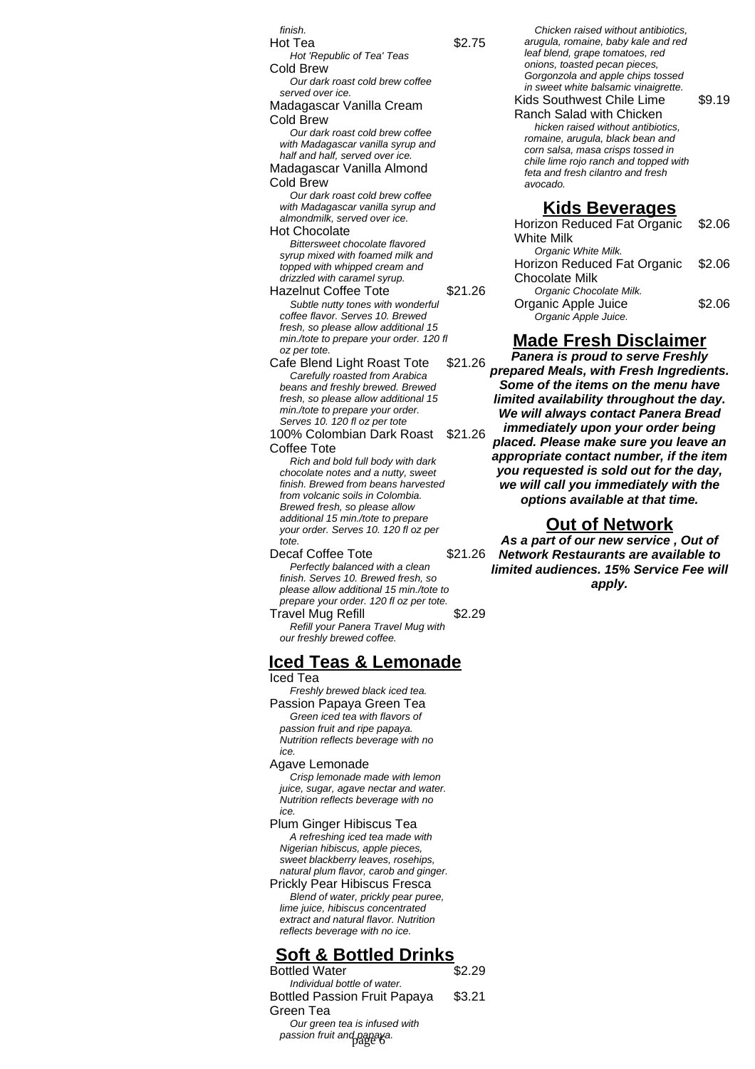finish. Hot Tea  $$2.75$ Hot 'Republic of Tea' Teas Cold Brew Our dark roast cold brew coffee served over ice. Madagascar Vanilla Cream Cold Brew Our dark roast cold brew coffee with Madagascar vanilla syrup and half and half, served over ice. Madagascar Vanilla Almond Cold Brew Our dark roast cold brew coffee with Madagascar vanilla syrup and almondmilk, served over ice. Hot Chocolate Bittersweet chocolate flavored syrup mixed with foamed milk and topped with whipped cream and drizzled with caramel syrup. Hazelnut Coffee Tote \$21.26 Subtle nutty tones with wonderful coffee flavor. Serves 10. Brewed fresh, so please allow additional 15 min./tote to prepare your order. 120 fl oz per tote. Cafe Blend Light Roast Tote \$21.26 Carefully roasted from Arabica beans and freshly brewed. Brewed fresh, so please allow additional 15 min./tote to prepare your order. Serves 10. 120 fl oz per tote 100% Colombian Dark Roast Coffee Tote \$21.26 Rich and bold full body with dark chocolate notes and a nutty, sweet finish. Brewed from beans harvested from volcanic soils in Colombia. Brewed fresh, so please allow additional 15 min./tote to prepare your order. Serves 10. 120 fl oz per tote Decaf Coffee Tote \$21.26 Perfectly balanced with a clean finish. Serves 10. Brewed fresh, so please allow additional 15 min./tote to prepare your order. 120 fl oz per tote. Travel Mug Refill **\$2.29** 

Refill your Panera Travel Mug with our freshly brewed coffee.

# **Iced Teas & Lemonade**

Iced Tea Freshly brewed black iced tea. Passion Papaya Green Tea Green iced tea with flavors of passion fruit and ripe papaya. Nutrition reflects beverage with no ice.

#### Agave Lemonade Crisp lemonade made with lemon juice, sugar, agave nectar and water. Nutrition reflects beverage with no

ice. Plum Ginger Hibiscus Tea A refreshing iced tea made with Nigerian hibiscus, apple pieces, sweet blackberry leaves, rosehips, natural plum flavor, carob and ginger. Prickly Pear Hibiscus Fresca Blend of water, prickly pear puree,

lime juice, hibiscus concentrated extract and natural flavor. Nutrition reflects beverage with no ice.

# **Soft & Bottled Drinks**

**Bottled Water** Individual bottle of water. Bottled Passion Fruit Papaya Green Tea \$3.21 Our green tea is infused with passion fruit and papaya. page 6

Chicken raised without antibiotics, arugula, romaine, baby kale and red leaf blend, grape tomatoes, red onions, toasted pecan pieces, Gorgonzola and apple chips tossed in sweet white balsamic vinaigrette.

Kids Southwest Chile Lime Ranch Salad with Chicken \$9.19 hicken raised without antibiotics, romaine, arugula, black bean and corn salsa, masa crisps tossed in chile lime rojo ranch and topped with feta and fresh cilantro and fresh avocado.

#### **Kids Beverages**

| Horizon Reduced Fat Organic \$2.06 |        |
|------------------------------------|--------|
| <b>White Milk</b>                  |        |
| Organic White Milk.                |        |
| Horizon Reduced Fat Organic \$2.06 |        |
| <b>Chocolate Milk</b>              |        |
| Organic Chocolate Milk.            |        |
| Organic Apple Juice                | \$2.06 |
| Organic Apple Juice.               |        |

# **Made Fresh Disclaimer**

**Panera is proud to serve Freshly prepared Meals, with Fresh Ingredients. Some of the items on the menu have limited availability throughout the day. We will always contact Panera Bread immediately upon your order being placed. Please make sure you leave an appropriate contact number, if the item you requested is sold out for the day, we will call you immediately with the options available at that time.**

#### **Out of Network**

**As a part of our new service , Out of Network Restaurants are available to limited audiences. 15% Service Fee will apply.**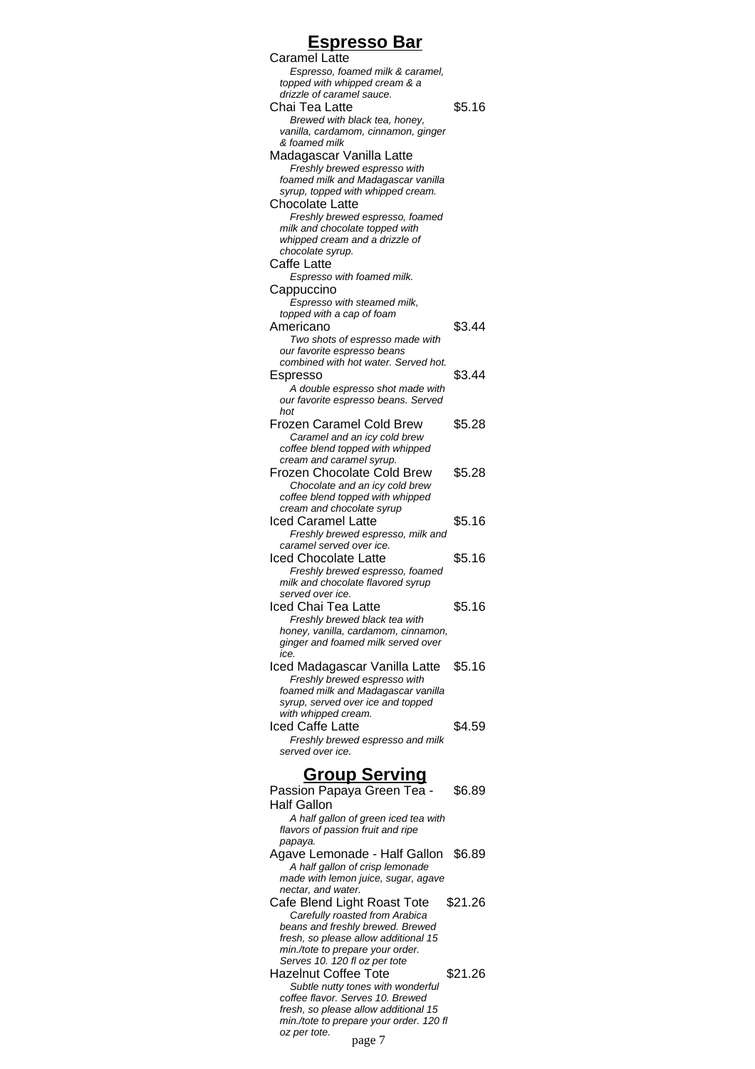#### **Espresso Bar** Caramel Latte Espresso, foamed milk & caramel, topped with whipped cream & a drizzle of caramel sauce. Chai Tea Latte \$5.16 Brewed with black tea, honey, vanilla, cardamom, cinnamon, ginger & foamed milk Madagascar Vanilla Latte Freshly brewed espresso with foamed milk and Madagascar vanilla syrup, topped with whipped cream. Chocolate Latte Freshly brewed espresso, foamed milk and chocolate topped with whipped cream and a drizzle of chocolate syrup. Caffe Latte Espresso with foamed milk. **Cappuccino** Espresso with steamed milk, topped with a cap of foam Americano  $$3.44$ Two shots of espresso made with our favorite espresso beans combined with hot water. Served hot. Espresso \$3.44 A double espresso shot made with our favorite espresso beans. Served hot Frozen Caramel Cold Brew \$5.28 Caramel and an icy cold brew coffee blend topped with whipped cream and caramel syrup. Frozen Chocolate Cold Brew \$5.28 Chocolate and an icy cold brew coffee blend topped with whipped cream and chocolate syrup Iced Caramel Latte \$5.16 Freshly brewed espresso, milk and caramel served over ice. Iced Chocolate Latte \$5.16 Freshly brewed espresso, foamed milk and chocolate flavored syrup served over ice. Iced Chai Tea Latte \$5.16 Freshly brewed black tea with honey, vanilla, cardamom, cinnamon, ginger and foamed milk served over ice. Iced Madagascar Vanilla Latte \$5.16 Freshly brewed espresso with foamed milk and Madagascar vanilla syrup, served over ice and topped with whipped cream. Iced Caffe Latte **\$4.59** Freshly brewed espresso and milk served over ice. **Group Serving**

| Passion Papaya Green Tea -<br>\$6.89                                  |
|-----------------------------------------------------------------------|
| Half Gallon                                                           |
| A half gallon of green iced tea with                                  |
| flavors of passion fruit and ripe                                     |
| papaya.                                                               |
| Agave Lemonade - Half Gallon<br>\$6.89                                |
| A half gallon of crisp lemonade                                       |
| made with lemon juice, sugar, agave                                   |
| nectar, and water.                                                    |
| \$21.26<br>Cafe Blend Light Roast Tote                                |
| Carefully roasted from Arabica                                        |
| beans and freshly brewed. Brewed                                      |
| fresh, so please allow additional 15                                  |
| min./tote to prepare your order.                                      |
| Serves 10. 120 fl oz per tote                                         |
| Hazelnut Coffee Tote<br>\$21.26                                       |
| Subtle nutty tones with wonderful<br>coffee flavor. Serves 10. Brewed |
| fresh, so please allow additional 15                                  |
| min./tote to prepare your order. 120 fl                               |
| oz per tote.                                                          |
| page 7                                                                |